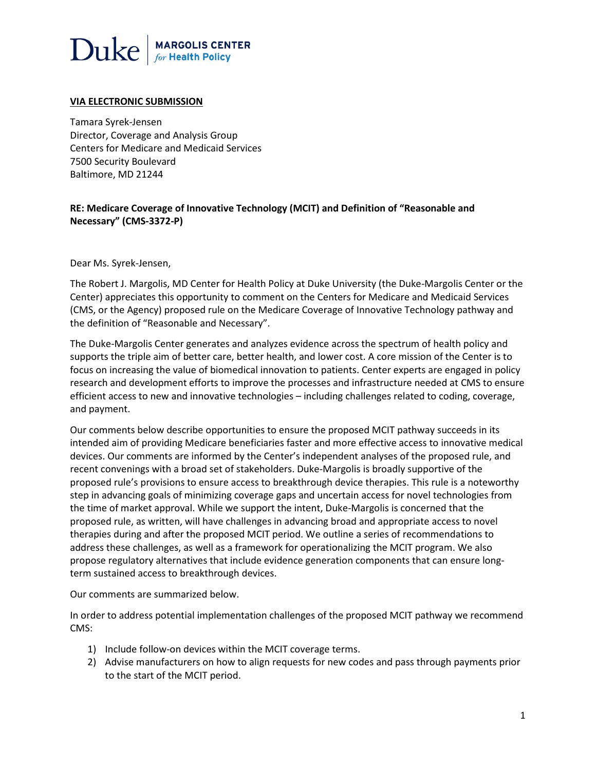# $\text{Duke}$  MARGOLIS CENTER

# **VIA ELECTRONIC SUBMISSION**

Tamara Syrek-Jensen Director, Coverage and Analysis Group Centers for Medicare and Medicaid Services 7500 Security Boulevard Baltimore, MD 21244

# **RE: Medicare Coverage of Innovative Technology (MCIT) and Definition of "Reasonable and Necessary" (CMS-3372-P)**

Dear Ms. Syrek-Jensen,

The Robert J. Margolis, MD Center for Health Policy at Duke University (the Duke-Margolis Center or the Center) appreciates this opportunity to comment on the Centers for Medicare and Medicaid Services (CMS, or the Agency) proposed rule on the Medicare Coverage of Innovative Technology pathway and the definition of "Reasonable and Necessary".

The Duke-Margolis Center generates and analyzes evidence across the spectrum of health policy and supports the triple aim of better care, better health, and lower cost. A core mission of the Center is to focus on increasing the value of biomedical innovation to patients. Center experts are engaged in policy research and development efforts to improve the processes and infrastructure needed at CMS to ensure efficient access to new and innovative technologies – including challenges related to coding, coverage, and payment.

Our comments below describe opportunities to ensure the proposed MCIT pathway succeeds in its intended aim of providing Medicare beneficiaries faster and more effective access to innovative medical devices. Our comments are informed by the Center's independent analyses of the proposed rule, and recent convenings with a broad set of stakeholders. Duke-Margolis is broadly supportive of the proposed rule's provisions to ensure access to breakthrough device therapies. This rule is a noteworthy step in advancing goals of minimizing coverage gaps and uncertain access for novel technologies from the time of market approval. While we support the intent, Duke-Margolis is concerned that the proposed rule, as written, will have challenges in advancing broad and appropriate access to novel therapies during and after the proposed MCIT period. We outline a series of recommendations to address these challenges, as well as a framework for operationalizing the MCIT program. We also propose regulatory alternatives that include evidence generation components that can ensure longterm sustained access to breakthrough devices.

Our comments are summarized below.

In order to address potential implementation challenges of the proposed MCIT pathway we recommend CMS:

- 1) Include follow-on devices within the MCIT coverage terms.
- 2) Advise manufacturers on how to align requests for new codes and pass through payments prior to the start of the MCIT period.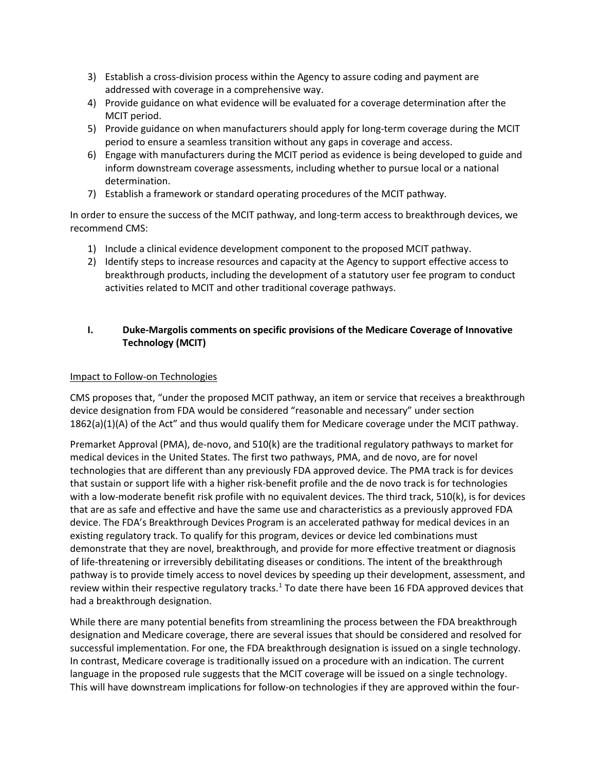- 3) Establish a cross-division process within the Agency to assure coding and payment are addressed with coverage in a comprehensive way.
- 4) Provide guidance on what evidence will be evaluated for a coverage determination after the MCIT period.
- 5) Provide guidance on when manufacturers should apply for long-term coverage during the MCIT period to ensure a seamless transition without any gaps in coverage and access.
- 6) Engage with manufacturers during the MCIT period as evidence is being developed to guide and inform downstream coverage assessments, including whether to pursue local or a national determination.
- 7) Establish a framework or standard operating procedures of the MCIT pathway.

In order to ensure the success of the MCIT pathway, and long-term access to breakthrough devices, we recommend CMS:

- 1) Include a clinical evidence development component to the proposed MCIT pathway.
- 2) Identify steps to increase resources and capacity at the Agency to support effective access to breakthrough products, including the development of a statutory user fee program to conduct activities related to MCIT and other traditional coverage pathways.

# **I. Duke-Margolis comments on specific provisions of the Medicare Coverage of Innovative Technology (MCIT)**

# Impact to Follow-on Technologies

CMS proposes that, "under the proposed MCIT pathway, an item or service that receives a breakthrough device designation from FDA would be considered "reasonable and necessary" under section 1862(a)(1)(A) of the Act" and thus would qualify them for Medicare coverage under the MCIT pathway.

Premarket Approval (PMA), de-novo, and 510(k) are the traditional regulatory pathways to market for medical devices in the United States. The first two pathways, PMA, and de novo, are for novel technologies that are different than any previously FDA approved device. The PMA track is for devices that sustain or support life with a higher risk-benefit profile and the de novo track is for technologies with a low-moderate benefit risk profile with no equivalent devices. The third track, 510(k), is for devices that are as safe and effective and have the same use and characteristics as a previously approved FDA device. The FDA's Breakthrough Devices Program is an accelerated pathway for medical devices in an existing regulatory track. To qualify for this program, devices or device led combinations must demonstrate that they are novel, breakthrough, and provide for more effective treatment or diagnosis of life-threatening or irreversibly debilitating diseases or conditions. The intent of the breakthrough pathway is to provide timely access to novel devices by speeding up their development, assessment, and review within their respective regulatory tracks.<sup>[1](#page-11-0)</sup> To date there have been 16 FDA approved devices that had a breakthrough designation.

While there are many potential benefits from streamlining the process between the FDA breakthrough designation and Medicare coverage, there are several issues that should be considered and resolved for successful implementation. For one, the FDA breakthrough designation is issued on a single technology. In contrast, Medicare coverage is traditionally issued on a procedure with an indication. The current language in the proposed rule suggests that the MCIT coverage will be issued on a single technology. This will have downstream implications for follow-on technologies if they are approved within the four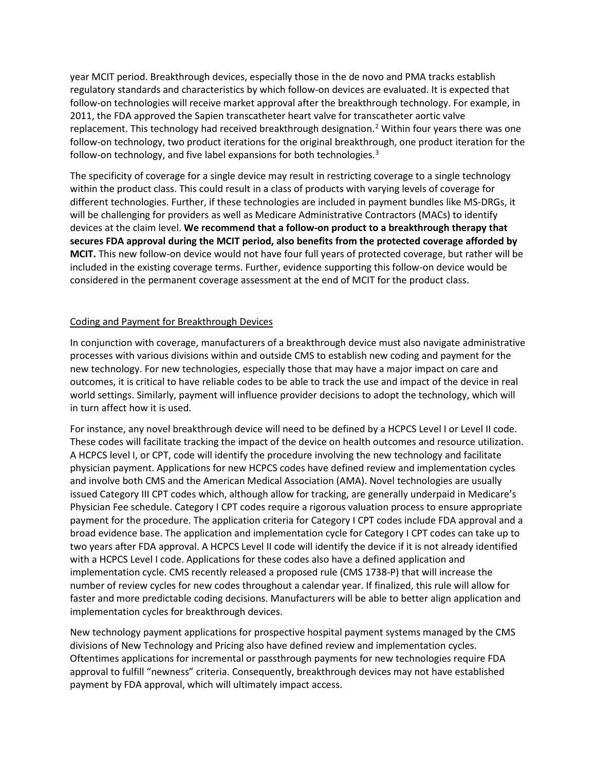year MCIT period. Breakthrough devices, especially those in the de novo and PMA tracks establish regulatory standards and characteristics by which follow-on devices are evaluated. It is expected that follow-on technologies will receive market approval after the breakthrough technology. For example, in 2011, the FDA approved the Sapien transcatheter heart valve for transcatheter aortic valve replacement. This technology had received breakthrough designation.<sup>[2](#page-11-1)</sup> Within four years there was one follow-on technology, two product iterations for the original breakthrough, one product iteration for the follow-on technology, and five label expansions for both technologies.<sup>[3](#page-11-2)</sup>

The specificity of coverage for a single device may result in restricting coverage to a single technology within the product class. This could result in a class of products with varying levels of coverage for different technologies. Further, if these technologies are included in payment bundles like MS-DRGs, it will be challenging for providers as well as Medicare Administrative Contractors (MACs) to identify devices at the claim level. **We recommend that a follow-on product to a breakthrough therapy that secures FDA approval during the MCIT period, also benefits from the protected coverage afforded by MCIT.** This new follow-on device would not have four full years of protected coverage, but rather will be included in the existing coverage terms. Further, evidence supporting this follow-on device would be considered in the permanent coverage assessment at the end of MCIT for the product class.

### Coding and Payment for Breakthrough Devices

In conjunction with coverage, manufacturers of a breakthrough device must also navigate administrative processes with various divisions within and outside CMS to establish new coding and payment for the new technology. For new technologies, especially those that may have a major impact on care and outcomes, it is critical to have reliable codes to be able to track the use and impact of the device in real world settings. Similarly, payment will influence provider decisions to adopt the technology, which will in turn affect how it is used.

For instance, any novel breakthrough device will need to be defined by a HCPCS Level I or Level II code. These codes will facilitate tracking the impact of the device on health outcomes and resource utilization. A HCPCS level I, or CPT, code will identify the procedure involving the new technology and facilitate physician payment. Applications for new HCPCS codes have defined review and implementation cycles and involve both CMS and the American Medical Association (AMA). Novel technologies are usually issued Category III CPT codes which, although allow for tracking, are generally underpaid in Medicare's Physician Fee schedule. Category I CPT codes require a rigorous valuation process to ensure appropriate payment for the procedure. The application criteria for Category I CPT codes include FDA approval and a broad evidence base. The application and implementation cycle for Category I CPT codes can take up to two years after FDA approval. A HCPCS Level II code will identify the device if it is not already identified with a HCPCS Level I code. Applications for these codes also have a defined application and implementation cycle. CMS recently released a proposed rule (CMS 1738-P) that will increase the number of review cycles for new codes throughout a calendar year. If finalized, this rule will allow for faster and more predictable coding decisions. Manufacturers will be able to better align application and implementation cycles for breakthrough devices.

New technology payment applications for prospective hospital payment systems managed by the CMS divisions of New Technology and Pricing also have defined review and implementation cycles. Oftentimes applications for incremental or passthrough payments for new technologies require FDA approval to fulfill "newness" criteria. Consequently, breakthrough devices may not have established payment by FDA approval, which will ultimately impact access.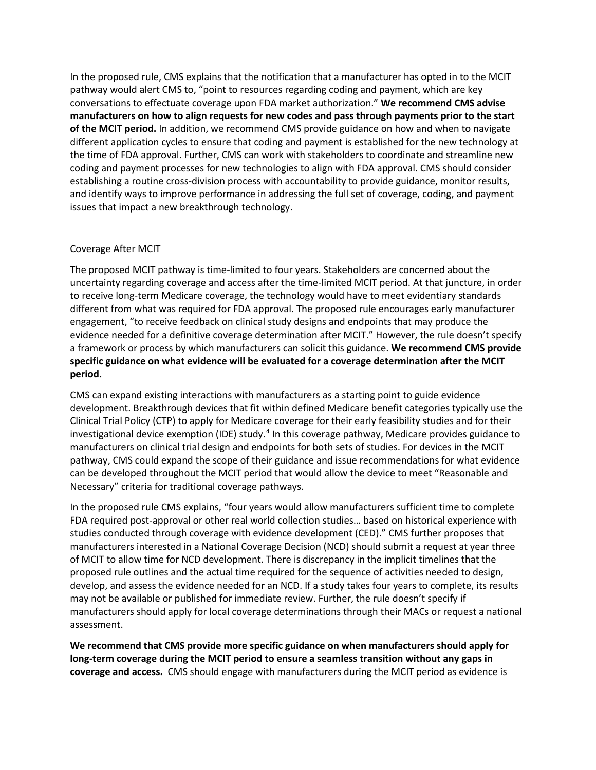In the proposed rule, CMS explains that the notification that a manufacturer has opted in to the MCIT pathway would alert CMS to, "point to resources regarding coding and payment, which are key conversations to effectuate coverage upon FDA market authorization." **We recommend CMS advise manufacturers on how to align requests for new codes and pass through payments prior to the start of the MCIT period.** In addition, we recommend CMS provide guidance on how and when to navigate different application cycles to ensure that coding and payment is established for the new technology at the time of FDA approval. Further, CMS can work with stakeholders to coordinate and streamline new coding and payment processes for new technologies to align with FDA approval. CMS should consider establishing a routine cross-division process with accountability to provide guidance, monitor results, and identify ways to improve performance in addressing the full set of coverage, coding, and payment issues that impact a new breakthrough technology.

# Coverage After MCIT

The proposed MCIT pathway is time-limited to four years. Stakeholders are concerned about the uncertainty regarding coverage and access after the time-limited MCIT period. At that juncture, in order to receive long-term Medicare coverage, the technology would have to meet evidentiary standards different from what was required for FDA approval. The proposed rule encourages early manufacturer engagement, "to receive feedback on clinical study designs and endpoints that may produce the evidence needed for a definitive coverage determination after MCIT." However, the rule doesn't specify a framework or process by which manufacturers can solicit this guidance. **We recommend CMS provide specific guidance on what evidence will be evaluated for a coverage determination after the MCIT period.** 

CMS can expand existing interactions with manufacturers as a starting point to guide evidence development. Breakthrough devices that fit within defined Medicare benefit categories typically use the Clinical Trial Policy (CTP) to apply for Medicare coverage for their early feasibility studies and for their investigational device exemption (IDE) study.<sup>[4](#page-11-3)</sup> In this coverage pathway, Medicare provides guidance to manufacturers on clinical trial design and endpoints for both sets of studies. For devices in the MCIT pathway, CMS could expand the scope of their guidance and issue recommendations for what evidence can be developed throughout the MCIT period that would allow the device to meet "Reasonable and Necessary" criteria for traditional coverage pathways.

In the proposed rule CMS explains, "four years would allow manufacturers sufficient time to complete FDA required post-approval or other real world collection studies… based on historical experience with studies conducted through coverage with evidence development (CED)." CMS further proposes that manufacturers interested in a National Coverage Decision (NCD) should submit a request at year three of MCIT to allow time for NCD development. There is discrepancy in the implicit timelines that the proposed rule outlines and the actual time required for the sequence of activities needed to design, develop, and assess the evidence needed for an NCD. If a study takes four years to complete, its results may not be available or published for immediate review. Further, the rule doesn't specify if manufacturers should apply for local coverage determinations through their MACs or request a national assessment.

**We recommend that CMS provide more specific guidance on when manufacturers should apply for long-term coverage during the MCIT period to ensure a seamless transition without any gaps in coverage and access.** CMS should engage with manufacturers during the MCIT period as evidence is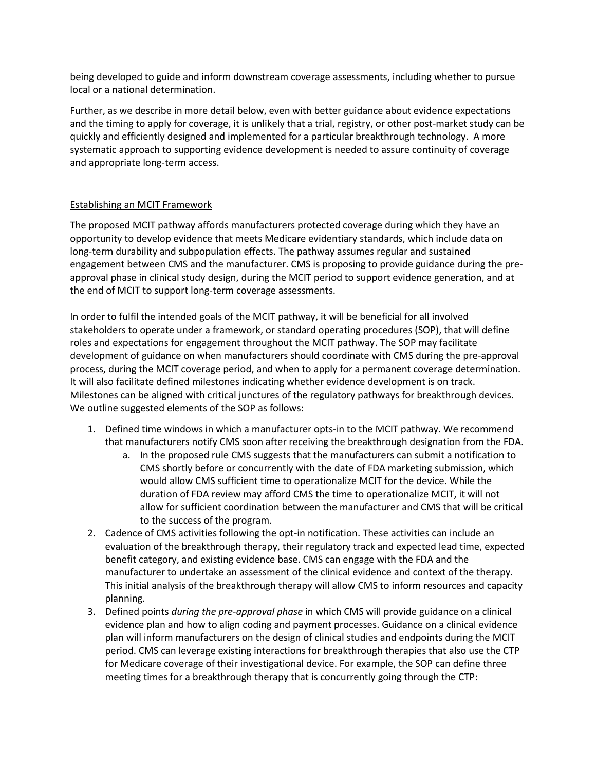being developed to guide and inform downstream coverage assessments, including whether to pursue local or a national determination.

Further, as we describe in more detail below, even with better guidance about evidence expectations and the timing to apply for coverage, it is unlikely that a trial, registry, or other post-market study can be quickly and efficiently designed and implemented for a particular breakthrough technology. A more systematic approach to supporting evidence development is needed to assure continuity of coverage and appropriate long-term access.

# Establishing an MCIT Framework

The proposed MCIT pathway affords manufacturers protected coverage during which they have an opportunity to develop evidence that meets Medicare evidentiary standards, which include data on long-term durability and subpopulation effects. The pathway assumes regular and sustained engagement between CMS and the manufacturer. CMS is proposing to provide guidance during the preapproval phase in clinical study design, during the MCIT period to support evidence generation, and at the end of MCIT to support long-term coverage assessments.

In order to fulfil the intended goals of the MCIT pathway, it will be beneficial for all involved stakeholders to operate under a framework, or standard operating procedures (SOP), that will define roles and expectations for engagement throughout the MCIT pathway. The SOP may facilitate development of guidance on when manufacturers should coordinate with CMS during the pre-approval process, during the MCIT coverage period, and when to apply for a permanent coverage determination. It will also facilitate defined milestones indicating whether evidence development is on track. Milestones can be aligned with critical junctures of the regulatory pathways for breakthrough devices. We outline suggested elements of the SOP as follows:

- 1. Defined time windows in which a manufacturer opts-in to the MCIT pathway. We recommend that manufacturers notify CMS soon after receiving the breakthrough designation from the FDA.
	- a. In the proposed rule CMS suggests that the manufacturers can submit a notification to CMS shortly before or concurrently with the date of FDA marketing submission, which would allow CMS sufficient time to operationalize MCIT for the device. While the duration of FDA review may afford CMS the time to operationalize MCIT, it will not allow for sufficient coordination between the manufacturer and CMS that will be critical to the success of the program.
- 2. Cadence of CMS activities following the opt-in notification. These activities can include an evaluation of the breakthrough therapy, their regulatory track and expected lead time, expected benefit category, and existing evidence base. CMS can engage with the FDA and the manufacturer to undertake an assessment of the clinical evidence and context of the therapy. This initial analysis of the breakthrough therapy will allow CMS to inform resources and capacity planning.
- 3. Defined points *during the pre-approval phase* in which CMS will provide guidance on a clinical evidence plan and how to align coding and payment processes. Guidance on a clinical evidence plan will inform manufacturers on the design of clinical studies and endpoints during the MCIT period. CMS can leverage existing interactions for breakthrough therapies that also use the CTP for Medicare coverage of their investigational device. For example, the SOP can define three meeting times for a breakthrough therapy that is concurrently going through the CTP: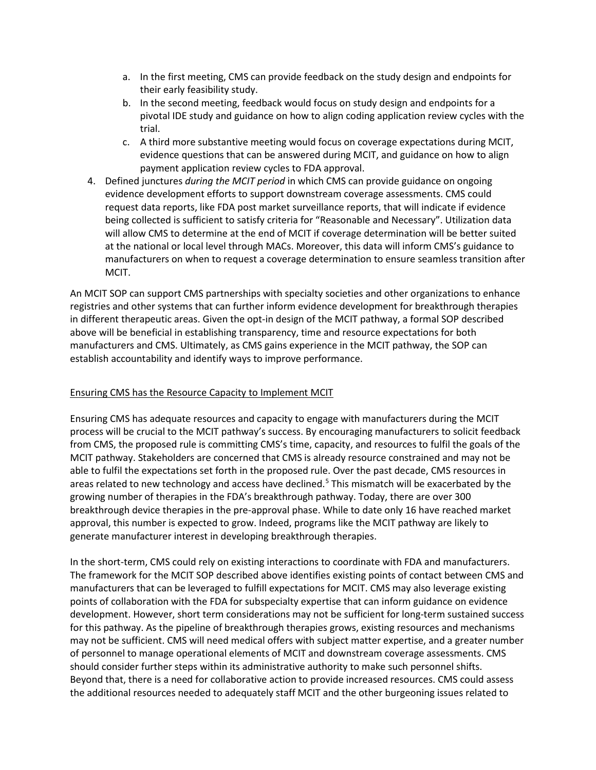- a. In the first meeting, CMS can provide feedback on the study design and endpoints for their early feasibility study.
- b. In the second meeting, feedback would focus on study design and endpoints for a pivotal IDE study and guidance on how to align coding application review cycles with the trial.
- c. A third more substantive meeting would focus on coverage expectations during MCIT, evidence questions that can be answered during MCIT, and guidance on how to align payment application review cycles to FDA approval.
- 4. Defined junctures *during the MCIT period* in which CMS can provide guidance on ongoing evidence development efforts to support downstream coverage assessments. CMS could request data reports, like FDA post market surveillance reports, that will indicate if evidence being collected is sufficient to satisfy criteria for "Reasonable and Necessary". Utilization data will allow CMS to determine at the end of MCIT if coverage determination will be better suited at the national or local level through MACs. Moreover, this data will inform CMS's guidance to manufacturers on when to request a coverage determination to ensure seamless transition after MCIT.

An MCIT SOP can support CMS partnerships with specialty societies and other organizations to enhance registries and other systems that can further inform evidence development for breakthrough therapies in different therapeutic areas. Given the opt-in design of the MCIT pathway, a formal SOP described above will be beneficial in establishing transparency, time and resource expectations for both manufacturers and CMS. Ultimately, as CMS gains experience in the MCIT pathway, the SOP can establish accountability and identify ways to improve performance.

### Ensuring CMS has the Resource Capacity to Implement MCIT

Ensuring CMS has adequate resources and capacity to engage with manufacturers during the MCIT process will be crucial to the MCIT pathway's success. By encouraging manufacturers to solicit feedback from CMS, the proposed rule is committing CMS's time, capacity, and resources to fulfil the goals of the MCIT pathway. Stakeholders are concerned that CMS is already resource constrained and may not be able to fulfil the expectations set forth in the proposed rule. Over the past decade, CMS resources in areas related to new technology and access have declined.<sup>[5](#page-11-4)</sup> This mismatch will be exacerbated by the growing number of therapies in the FDA's breakthrough pathway. Today, there are over 300 breakthrough device therapies in the pre-approval phase. While to date only 16 have reached market approval, this number is expected to grow. Indeed, programs like the MCIT pathway are likely to generate manufacturer interest in developing breakthrough therapies.

In the short-term, CMS could rely on existing interactions to coordinate with FDA and manufacturers. The framework for the MCIT SOP described above identifies existing points of contact between CMS and manufacturers that can be leveraged to fulfill expectations for MCIT. CMS may also leverage existing points of collaboration with the FDA for subspecialty expertise that can inform guidance on evidence development. However, short term considerations may not be sufficient for long-term sustained success for this pathway. As the pipeline of breakthrough therapies grows, existing resources and mechanisms may not be sufficient. CMS will need medical offers with subject matter expertise, and a greater number of personnel to manage operational elements of MCIT and downstream coverage assessments. CMS should consider further steps within its administrative authority to make such personnel shifts. Beyond that, there is a need for collaborative action to provide increased resources. CMS could assess the additional resources needed to adequately staff MCIT and the other burgeoning issues related to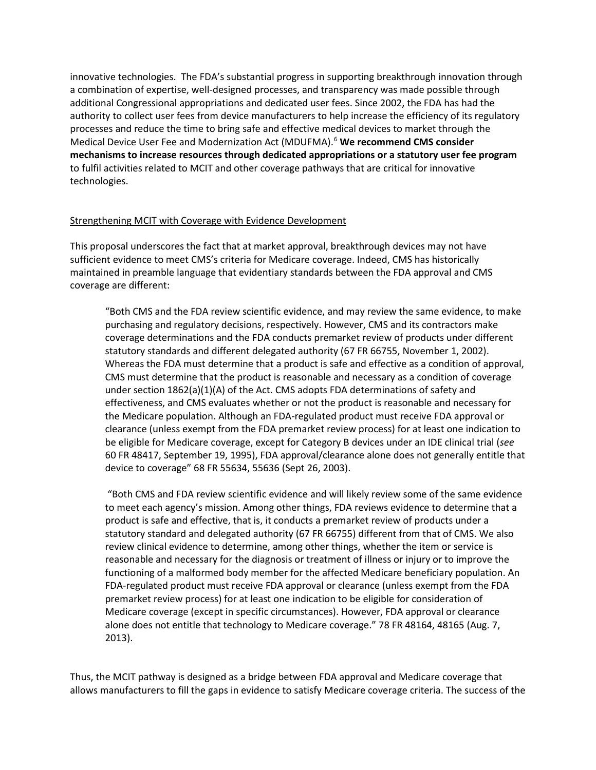innovative technologies. The FDA's substantial progress in supporting breakthrough innovation through a combination of expertise, well-designed processes, and transparency was made possible through additional Congressional appropriations and dedicated user fees. Since 2002, the FDA has had the authority to collect user fees from device manufacturers to help increase the efficiency of its regulatory processes and reduce the time to bring safe and effective medical devices to market through the Medical Device User Fee and Modernization Act (MDUFMA).[6](#page-11-5) **We recommend CMS consider mechanisms to increase resources through dedicated appropriations or a statutory user fee program**  to fulfil activities related to MCIT and other coverage pathways that are critical for innovative technologies.

#### Strengthening MCIT with Coverage with Evidence Development

This proposal underscores the fact that at market approval, breakthrough devices may not have sufficient evidence to meet CMS's criteria for Medicare coverage. Indeed, CMS has historically maintained in preamble language that evidentiary standards between the FDA approval and CMS coverage are different:

"Both CMS and the FDA review scientific evidence, and may review the same evidence, to make purchasing and regulatory decisions, respectively. However, CMS and its contractors make coverage determinations and the FDA conducts premarket review of products under different statutory standards and different delegated authority (67 FR 66755, November 1, 2002). Whereas the FDA must determine that a product is safe and effective as a condition of approval, CMS must determine that the product is reasonable and necessary as a condition of coverage under section 1862(a)(1)(A) of the Act. CMS adopts FDA determinations of safety and effectiveness, and CMS evaluates whether or not the product is reasonable and necessary for the Medicare population. Although an FDA-regulated product must receive FDA approval or clearance (unless exempt from the FDA premarket review process) for at least one indication to be eligible for Medicare coverage, except for Category B devices under an IDE clinical trial (*see* 60 FR 48417, September 19, 1995), FDA approval/clearance alone does not generally entitle that device to coverage" 68 FR 55634, 55636 (Sept 26, 2003).

"Both CMS and FDA review scientific evidence and will likely review some of the same evidence to meet each agency's mission. Among other things, FDA reviews evidence to determine that a product is safe and effective, that is, it conducts a premarket review of products under a statutory standard and delegated authority (67 FR 66755) different from that of CMS. We also review clinical evidence to determine, among other things, whether the item or service is reasonable and necessary for the diagnosis or treatment of illness or injury or to improve the functioning of a malformed body member for the affected Medicare beneficiary population. An FDA-regulated product must receive FDA approval or clearance (unless exempt from the FDA premarket review process) for at least one indication to be eligible for consideration of Medicare coverage (except in specific circumstances). However, FDA approval or clearance alone does not entitle that technology to Medicare coverage." 78 FR 48164, 48165 (Aug. 7, 2013).

Thus, the MCIT pathway is designed as a bridge between FDA approval and Medicare coverage that allows manufacturers to fill the gaps in evidence to satisfy Medicare coverage criteria. The success of the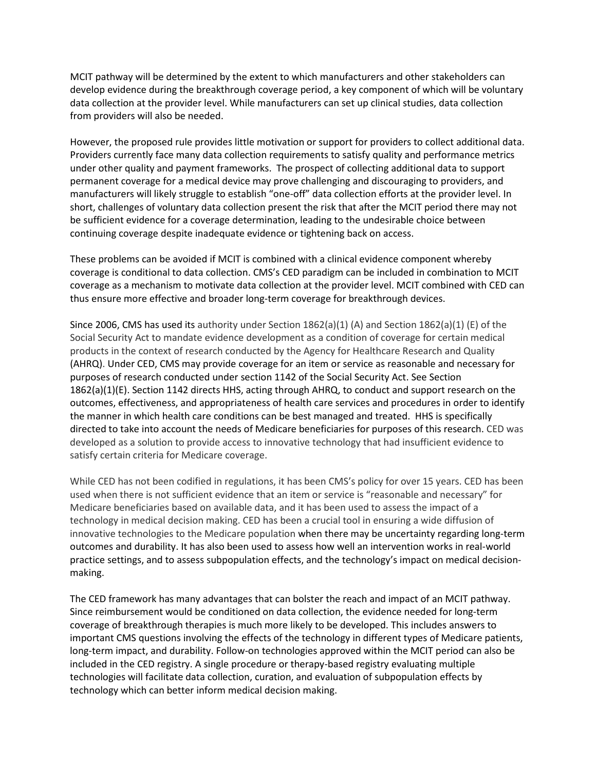MCIT pathway will be determined by the extent to which manufacturers and other stakeholders can develop evidence during the breakthrough coverage period, a key component of which will be voluntary data collection at the provider level. While manufacturers can set up clinical studies, data collection from providers will also be needed.

However, the proposed rule provides little motivation or support for providers to collect additional data. Providers currently face many data collection requirements to satisfy quality and performance metrics under other quality and payment frameworks. The prospect of collecting additional data to support permanent coverage for a medical device may prove challenging and discouraging to providers, and manufacturers will likely struggle to establish "one-off" data collection efforts at the provider level. In short, challenges of voluntary data collection present the risk that after the MCIT period there may not be sufficient evidence for a coverage determination, leading to the undesirable choice between continuing coverage despite inadequate evidence or tightening back on access.

These problems can be avoided if MCIT is combined with a clinical evidence component whereby coverage is conditional to data collection. CMS's CED paradigm can be included in combination to MCIT coverage as a mechanism to motivate data collection at the provider level. MCIT combined with CED can thus ensure more effective and broader long-term coverage for breakthrough devices.

Since 2006, CMS has used its authority under Section 1862(a)(1) (A) and Section 1862(a)(1) (E) of the Social Security Act to mandate evidence development as a condition of coverage for certain medical products in the context of research conducted by the Agency for Healthcare Research and Quality (AHRQ). Under CED, CMS may provide coverage for an item or service as reasonable and necessary for purposes of research conducted under section 1142 of the Social Security Act. See Section 1862(a)(1)(E). Section 1142 directs HHS, acting through AHRQ, to conduct and support research on the outcomes, effectiveness, and appropriateness of health care services and procedures in order to identify the manner in which health care conditions can be best managed and treated. HHS is specifically directed to take into account the needs of Medicare beneficiaries for purposes of this research. CED was developed as a solution to provide access to innovative technology that had insufficient evidence to satisfy certain criteria for Medicare coverage.

While CED has not been codified in regulations, it has been CMS's policy for over 15 years. CED has been used when there is not sufficient evidence that an item or service is "reasonable and necessary" for Medicare beneficiaries based on available data, and it has been used to assess the impact of a technology in medical decision making. CED has been a crucial tool in ensuring a wide diffusion of innovative technologies to the Medicare population when there may be uncertainty regarding long-term outcomes and durability. It has also been used to assess how well an intervention works in real-world practice settings, and to assess subpopulation effects, and the technology's impact on medical decisionmaking.

The CED framework has many advantages that can bolster the reach and impact of an MCIT pathway. Since reimbursement would be conditioned on data collection, the evidence needed for long-term coverage of breakthrough therapies is much more likely to be developed. This includes answers to important CMS questions involving the effects of the technology in different types of Medicare patients, long-term impact, and durability. Follow-on technologies approved within the MCIT period can also be included in the CED registry. A single procedure or therapy-based registry evaluating multiple technologies will facilitate data collection, curation, and evaluation of subpopulation effects by technology which can better inform medical decision making.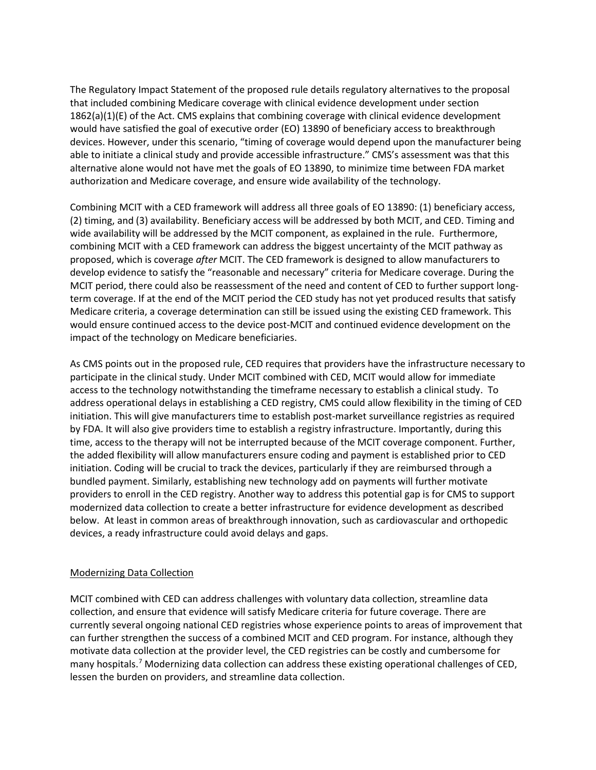The Regulatory Impact Statement of the proposed rule details regulatory alternatives to the proposal that included combining Medicare coverage with clinical evidence development under section 1862(a)(1)(E) of the Act. CMS explains that combining coverage with clinical evidence development would have satisfied the goal of executive order (EO) 13890 of beneficiary access to breakthrough devices. However, under this scenario, "timing of coverage would depend upon the manufacturer being able to initiate a clinical study and provide accessible infrastructure." CMS's assessment was that this alternative alone would not have met the goals of EO 13890, to minimize time between FDA market authorization and Medicare coverage, and ensure wide availability of the technology.

Combining MCIT with a CED framework will address all three goals of EO 13890: (1) beneficiary access, (2) timing, and (3) availability. Beneficiary access will be addressed by both MCIT, and CED. Timing and wide availability will be addressed by the MCIT component, as explained in the rule. Furthermore, combining MCIT with a CED framework can address the biggest uncertainty of the MCIT pathway as proposed, which is coverage *after* MCIT. The CED framework is designed to allow manufacturers to develop evidence to satisfy the "reasonable and necessary" criteria for Medicare coverage. During the MCIT period, there could also be reassessment of the need and content of CED to further support longterm coverage. If at the end of the MCIT period the CED study has not yet produced results that satisfy Medicare criteria, a coverage determination can still be issued using the existing CED framework. This would ensure continued access to the device post-MCIT and continued evidence development on the impact of the technology on Medicare beneficiaries.

As CMS points out in the proposed rule, CED requires that providers have the infrastructure necessary to participate in the clinical study. Under MCIT combined with CED, MCIT would allow for immediate access to the technology notwithstanding the timeframe necessary to establish a clinical study. To address operational delays in establishing a CED registry, CMS could allow flexibility in the timing of CED initiation. This will give manufacturers time to establish post-market surveillance registries as required by FDA. It will also give providers time to establish a registry infrastructure. Importantly, during this time, access to the therapy will not be interrupted because of the MCIT coverage component. Further, the added flexibility will allow manufacturers ensure coding and payment is established prior to CED initiation. Coding will be crucial to track the devices, particularly if they are reimbursed through a bundled payment. Similarly, establishing new technology add on payments will further motivate providers to enroll in the CED registry. Another way to address this potential gap is for CMS to support modernized data collection to create a better infrastructure for evidence development as described below. At least in common areas of breakthrough innovation, such as cardiovascular and orthopedic devices, a ready infrastructure could avoid delays and gaps.

### Modernizing Data Collection

MCIT combined with CED can address challenges with voluntary data collection, streamline data collection, and ensure that evidence will satisfy Medicare criteria for future coverage. There are currently several ongoing national CED registries whose experience points to areas of improvement that can further strengthen the success of a combined MCIT and CED program. For instance, although they motivate data collection at the provider level, the CED registries can be costly and cumbersome for many hospitals.<sup>[7](#page-11-6)</sup> Modernizing data collection can address these existing operational challenges of CED, lessen the burden on providers, and streamline data collection.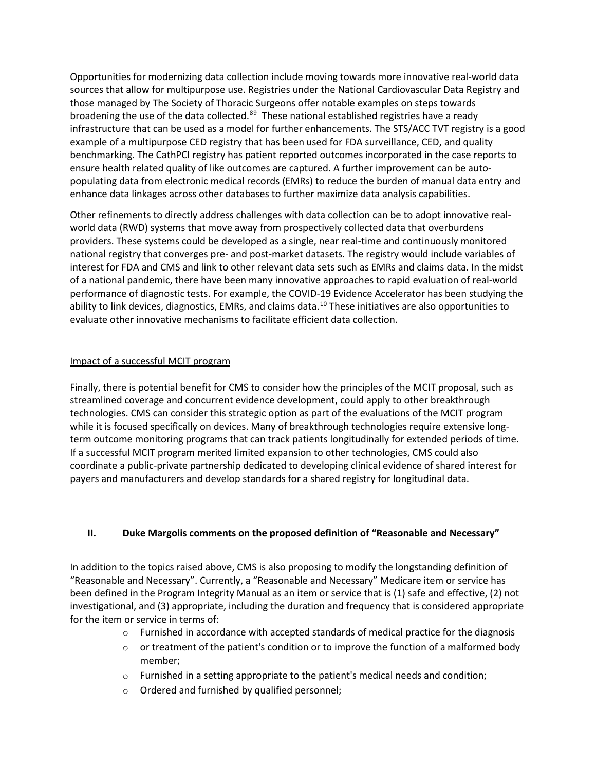Opportunities for modernizing data collection include moving towards more innovative real-world data sources that allow for multipurpose use. Registries under the National Cardiovascular Data Registry and those managed by The Society of Thoracic Surgeons offer notable examples on steps towards broadening the use of the data collected.<sup>[8](#page-11-7)[9](#page-11-8)</sup> These national established registries have a ready infrastructure that can be used as a model for further enhancements. The STS/ACC TVT registry is a good example of a multipurpose CED registry that has been used for FDA surveillance, CED, and quality benchmarking. The CathPCI registry has patient reported outcomes incorporated in the case reports to ensure health related quality of like outcomes are captured. A further improvement can be autopopulating data from electronic medical records (EMRs) to reduce the burden of manual data entry and enhance data linkages across other databases to further maximize data analysis capabilities.

Other refinements to directly address challenges with data collection can be to adopt innovative realworld data (RWD) systems that move away from prospectively collected data that overburdens providers. These systems could be developed as a single, near real-time and continuously monitored national registry that converges pre- and post-market datasets. The registry would include variables of interest for FDA and CMS and link to other relevant data sets such as EMRs and claims data. In the midst of a national pandemic, there have been many innovative approaches to rapid evaluation of real-world performance of diagnostic tests. For example, the COVID-19 Evidence Accelerator has been studying the ability to link devices, diagnostics, EMRs, and claims data.<sup>[10](#page-11-9)</sup> These initiatives are also opportunities to evaluate other innovative mechanisms to facilitate efficient data collection.

# Impact of a successful MCIT program

Finally, there is potential benefit for CMS to consider how the principles of the MCIT proposal, such as streamlined coverage and concurrent evidence development, could apply to other breakthrough technologies. CMS can consider this strategic option as part of the evaluations of the MCIT program while it is focused specifically on devices. Many of breakthrough technologies require extensive longterm outcome monitoring programs that can track patients longitudinally for extended periods of time. If a successful MCIT program merited limited expansion to other technologies, CMS could also coordinate a public-private partnership dedicated to developing clinical evidence of shared interest for payers and manufacturers and develop standards for a shared registry for longitudinal data.

### **II. Duke Margolis comments on the proposed definition of "Reasonable and Necessary"**

In addition to the topics raised above, CMS is also proposing to modify the longstanding definition of "Reasonable and Necessary". Currently, a "Reasonable and Necessary" Medicare item or service has been defined in the Program Integrity Manual as an item or service that is (1) safe and effective, (2) not investigational, and (3) appropriate, including the duration and frequency that is considered appropriate for the item or service in terms of:

- $\circ$  Furnished in accordance with accepted standards of medical practice for the diagnosis
- $\circ$  or treatment of the patient's condition or to improve the function of a malformed body member;
- o Furnished in a setting appropriate to the patient's medical needs and condition;
- o Ordered and furnished by qualified personnel;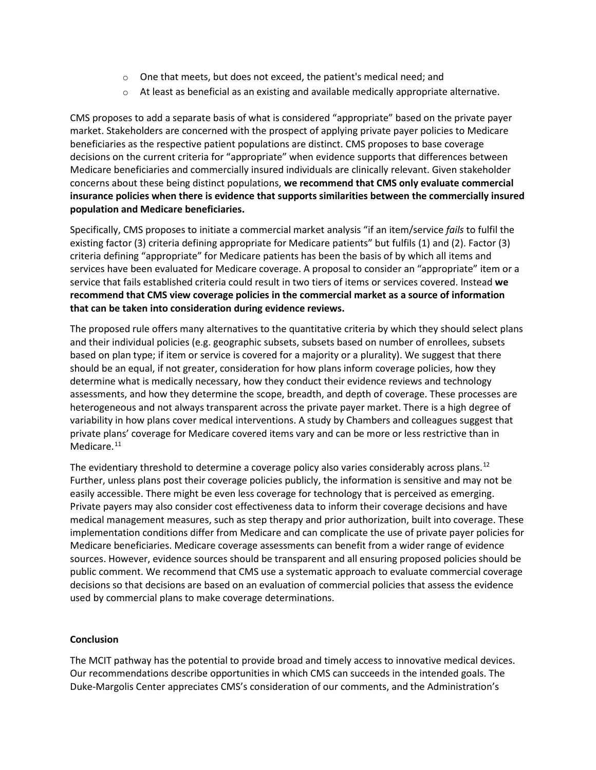- $\circ$  One that meets, but does not exceed, the patient's medical need; and
- $\circ$  At least as beneficial as an existing and available medically appropriate alternative.

CMS proposes to add a separate basis of what is considered "appropriate" based on the private payer market. Stakeholders are concerned with the prospect of applying private payer policies to Medicare beneficiaries as the respective patient populations are distinct. CMS proposes to base coverage decisions on the current criteria for "appropriate" when evidence supports that differences between Medicare beneficiaries and commercially insured individuals are clinically relevant. Given stakeholder concerns about these being distinct populations, **we recommend that CMS only evaluate commercial insurance policies when there is evidence that supports similarities between the commercially insured population and Medicare beneficiaries.** 

Specifically, CMS proposes to initiate a commercial market analysis "if an item/service *fails* to fulfil the existing factor (3) criteria defining appropriate for Medicare patients" but fulfils (1) and (2). Factor (3) criteria defining "appropriate" for Medicare patients has been the basis of by which all items and services have been evaluated for Medicare coverage. A proposal to consider an "appropriate" item or a service that fails established criteria could result in two tiers of items or services covered. Instead **we recommend that CMS view coverage policies in the commercial market as a source of information that can be taken into consideration during evidence reviews.** 

The proposed rule offers many alternatives to the quantitative criteria by which they should select plans and their individual policies (e.g. geographic subsets, subsets based on number of enrollees, subsets based on plan type; if item or service is covered for a majority or a plurality). We suggest that there should be an equal, if not greater, consideration for how plans inform coverage policies, how they determine what is medically necessary, how they conduct their evidence reviews and technology assessments, and how they determine the scope, breadth, and depth of coverage. These processes are heterogeneous and not always transparent across the private payer market. There is a high degree of variability in how plans cover medical interventions. A study by Chambers and colleagues suggest that private plans' coverage for Medicare covered items vary and can be more or less restrictive than in Medicare.<sup>[11](#page-11-10)</sup>

The evidentiary threshold to determine a coverage policy also varies considerably across plans.<sup>[12](#page-11-11)</sup> Further, unless plans post their coverage policies publicly, the information is sensitive and may not be easily accessible. There might be even less coverage for technology that is perceived as emerging. Private payers may also consider cost effectiveness data to inform their coverage decisions and have medical management measures, such as step therapy and prior authorization, built into coverage. These implementation conditions differ from Medicare and can complicate the use of private payer policies for Medicare beneficiaries. Medicare coverage assessments can benefit from a wider range of evidence sources. However, evidence sources should be transparent and all ensuring proposed policies should be public comment. We recommend that CMS use a systematic approach to evaluate commercial coverage decisions so that decisions are based on an evaluation of commercial policies that assess the evidence used by commercial plans to make coverage determinations.

### **Conclusion**

The MCIT pathway has the potential to provide broad and timely access to innovative medical devices. Our recommendations describe opportunities in which CMS can succeeds in the intended goals. The Duke-Margolis Center appreciates CMS's consideration of our comments, and the Administration's